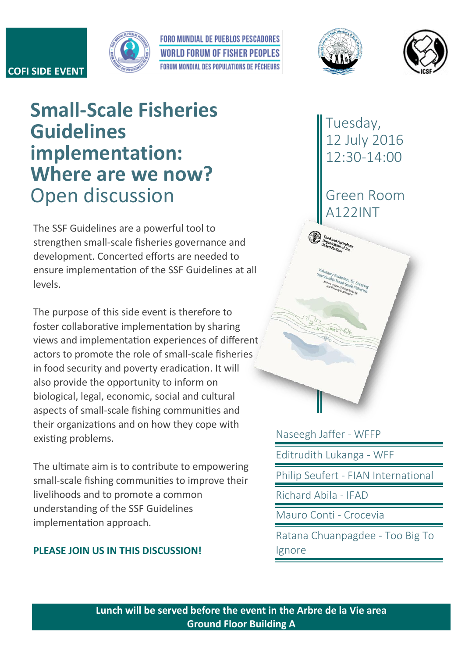## **COFI SIDE EVENT**

**Guidelines** 



**Small-Scale Fisheries** 

**Where are we now?**

**implementation:** 

**FORO MUNDIAL DE PUEBLOS PESCADORES WORLD FORUM OF FISHER PEOPLES EQRUM MONDIAL DES POPULATIONS DE PÉCHEURS** 





Tuesday, 12 July 2016 12:30-14:00

Green Room A122INT

Open discussion The SSF Guidelines are a powerful tool to strengthen small-scale fisheries governance and development. Concerted efforts are needed to ensure implementation of the SSF Guidelines at all

levels. The purpose of this side event is therefore to

foster collaborative implementation by sharing views and implementation experiences of different actors to promote the role of small-scale fisheries in food security and poverty eradication. It will also provide the opportunity to inform on biological, legal, economic, social and cultural aspects of small-scale fishing communities and their organizations and on how they cope with existing problems.

The ultimate aim is to contribute to empowering small-scale fishing communities to improve their livelihoods and to promote a common understanding of the SSF Guidelines implementation approach.

## **PLEASE JOIN US IN THIS DISCUSSION!**

Naseegh Jaffer - WFFP Editrudith Lukanga - WFF Philip Seufert - FIAN International Richard Abila - IFAD Mauro Conti - Crocevia Ratana Chuanpagdee - Too Big To Ignore

**Lunch will be served before the event in the Arbre de la Vie area Ground Floor Building A**